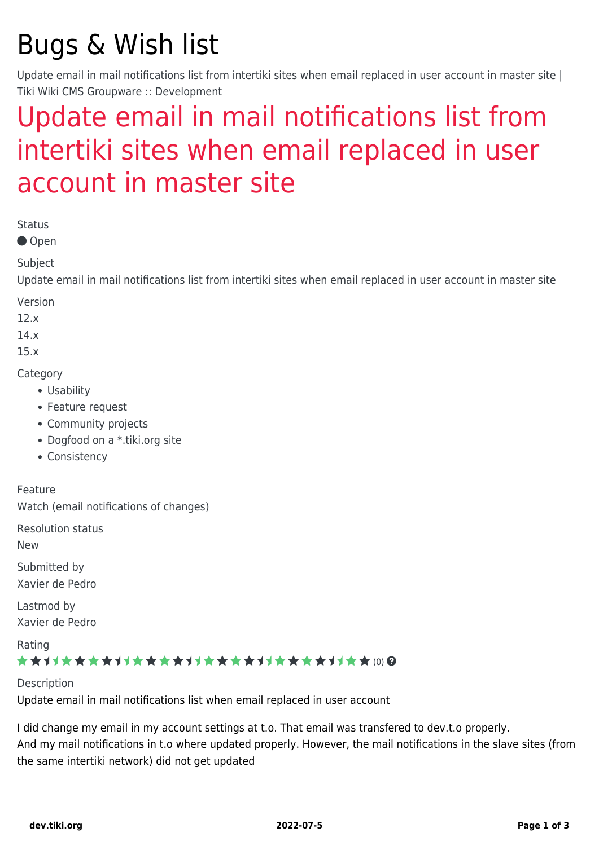# Bugs & Wish list

Update email in mail notifications list from intertiki sites when email replaced in user account in master site | Tiki Wiki CMS Groupware :: Development

## [Update email in mail notifications list from](https://dev.tiki.org/item5886-Update-email-in-mail-notifications-list-from-intertiki-sites-when-email-replaced-in-user-account-in-master-site) [intertiki sites when email replaced in user](https://dev.tiki.org/item5886-Update-email-in-mail-notifications-list-from-intertiki-sites-when-email-replaced-in-user-account-in-master-site) [account in master site](https://dev.tiki.org/item5886-Update-email-in-mail-notifications-list-from-intertiki-sites-when-email-replaced-in-user-account-in-master-site)

Status

● Open

Subject

Update email in mail notifications list from intertiki sites when email replaced in user account in master site

Version

12.x

14.x

15.x

**Category** 

- Usability
- Feature request
- Community projects
- Dogfood on a \*.tiki.org site
- Consistency

Feature Watch (email notifications of changes)

Resolution status

New

Submitted by Xavier de Pedro

Lastmod by Xavier de Pedro

Rating

#### ★★オオ★★★★オオ★★★★★★★★★★★★★★★★★★★ (0) @

Description

Update email in mail notifications list when email replaced in user account

I did change my email in my account settings at t.o. That email was transfered to dev.t.o properly. And my mail notifications in t.o where updated properly. However, the mail notifications in the slave sites (from the same intertiki network) did not get updated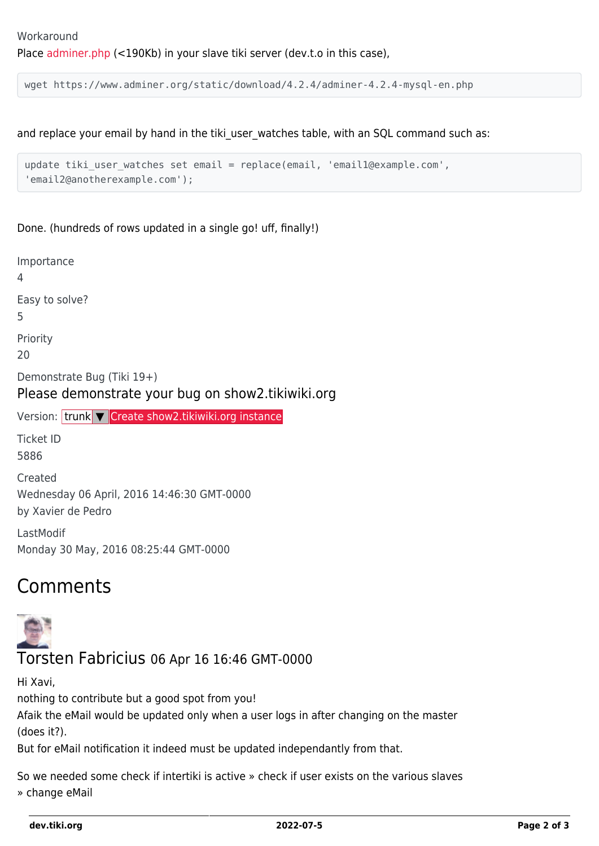wget https://www.adminer.org/static/download/4.2.4/adminer-4.2.4-mysql-en.php

and replace your email by hand in the tiki user watches table, with an SQL command such as:

```
update tiki_user_watches set email = replace(email, 'email1@example.com',
'email2@anotherexample.com');
```
Done. (hundreds of rows updated in a single go! uff, finally!)

Importance 4 Easy to solve? 5 Priority 20 Demonstrate Bug (Tiki 19+) Please demonstrate your bug on show2.tikiwiki.org Version: trunk ▼ [Create show2.tikiwiki.org instance](#page--1-0) Ticket ID 5886 Created Wednesday 06 April, 2016 14:46:30 GMT-0000 by Xavier de Pedro LastModif Monday 30 May, 2016 08:25:44 GMT-0000

### Comments



Hi Xavi,

Torsten Fabricius 06 Apr 16 16:46 GMT-0000

nothing to contribute but a good spot from you! Afaik the eMail would be updated only when a user logs in after changing on the master (does it?).

But for eMail notification it indeed must be updated independantly from that.

So we needed some check if intertiki is active » check if user exists on the various slaves » change eMail